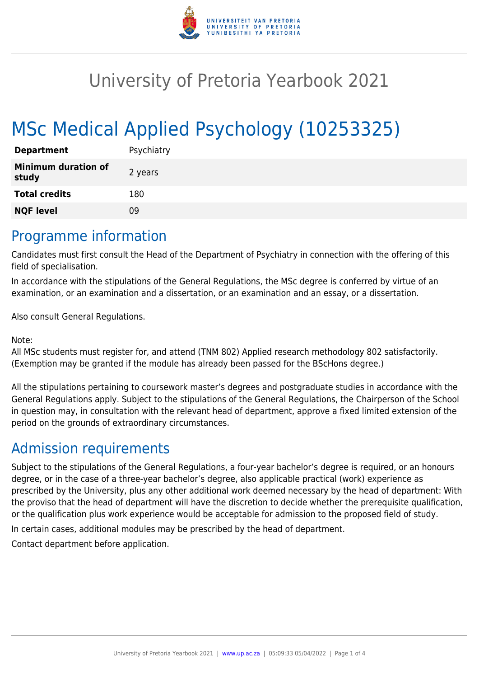

# University of Pretoria Yearbook 2021

# MSc Medical Applied Psychology (10253325)

| <b>Department</b>                   | Psychiatry |
|-------------------------------------|------------|
| <b>Minimum duration of</b><br>study | 2 years    |
| <b>Total credits</b>                | 180        |
| <b>NQF level</b>                    | ng         |

### Programme information

Candidates must first consult the Head of the Department of Psychiatry in connection with the offering of this field of specialisation.

In accordance with the stipulations of the General Regulations, the MSc degree is conferred by virtue of an examination, or an examination and a dissertation, or an examination and an essay, or a dissertation.

Also consult General Regulations.

Note:

All MSc students must register for, and attend (TNM 802) Applied research methodology 802 satisfactorily. (Exemption may be granted if the module has already been passed for the BScHons degree.)

All the stipulations pertaining to coursework master's degrees and postgraduate studies in accordance with the General Regulations apply. Subject to the stipulations of the General Regulations, the Chairperson of the School in question may, in consultation with the relevant head of department, approve a fixed limited extension of the period on the grounds of extraordinary circumstances.

## Admission requirements

Subject to the stipulations of the General Regulations, a four-year bachelor's degree is required, or an honours degree, or in the case of a three-year bachelor's degree, also applicable practical (work) experience as prescribed by the University, plus any other additional work deemed necessary by the head of department: With the proviso that the head of department will have the discretion to decide whether the prerequisite qualification, or the qualification plus work experience would be acceptable for admission to the proposed field of study.

In certain cases, additional modules may be prescribed by the head of department.

Contact department before application.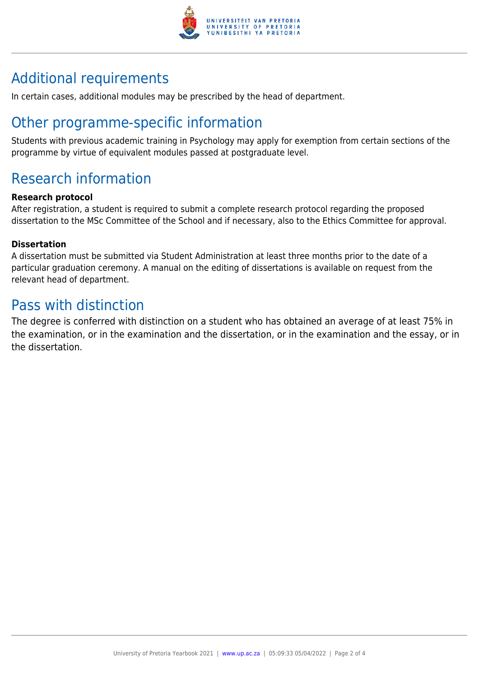

## Additional requirements

In certain cases, additional modules may be prescribed by the head of department.

### Other programme-specific information

Students with previous academic training in Psychology may apply for exemption from certain sections of the programme by virtue of equivalent modules passed at postgraduate level.

### Research information

#### **Research protocol**

After registration, a student is required to submit a complete research protocol regarding the proposed dissertation to the MSc Committee of the School and if necessary, also to the Ethics Committee for approval.

#### **Dissertation**

A dissertation must be submitted via Student Administration at least three months prior to the date of a particular graduation ceremony. A manual on the editing of dissertations is available on request from the relevant head of department.

### Pass with distinction

The degree is conferred with distinction on a student who has obtained an average of at least 75% in the examination, or in the examination and the dissertation, or in the examination and the essay, or in the dissertation.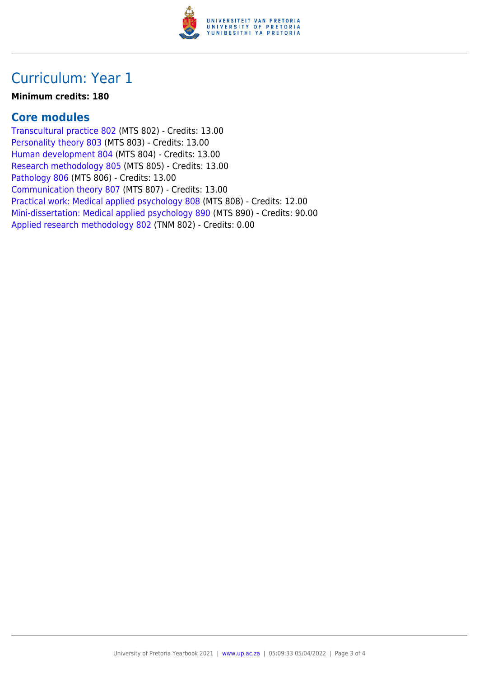

### Curriculum: Year 1

#### **Minimum credits: 180**

### **Core modules**

[Transcultural practice 802](https://www.up.ac.za/yearbooks/2021/modules/view/MTS 802) (MTS 802) - Credits: 13.00 [Personality theory 803](https://www.up.ac.za/yearbooks/2021/modules/view/MTS 803) (MTS 803) - Credits: 13.00 [Human development 804](https://www.up.ac.za/yearbooks/2021/modules/view/MTS 804) (MTS 804) - Credits: 13.00 [Research methodology 805](https://www.up.ac.za/yearbooks/2021/modules/view/MTS 805) (MTS 805) - Credits: 13.00 [Pathology 806](https://www.up.ac.za/yearbooks/2021/modules/view/MTS 806) (MTS 806) - Credits: 13.00 [Communication theory 807](https://www.up.ac.za/yearbooks/2021/modules/view/MTS 807) (MTS 807) - Credits: 13.00 [Practical work: Medical applied psychology 808](https://www.up.ac.za/yearbooks/2021/modules/view/MTS 808) (MTS 808) - Credits: 12.00 [Mini-dissertation: Medical applied psychology 890](https://www.up.ac.za/yearbooks/2021/modules/view/MTS 890) (MTS 890) - Credits: 90.00 [Applied research methodology 802](https://www.up.ac.za/yearbooks/2021/modules/view/TNM 802) (TNM 802) - Credits: 0.00